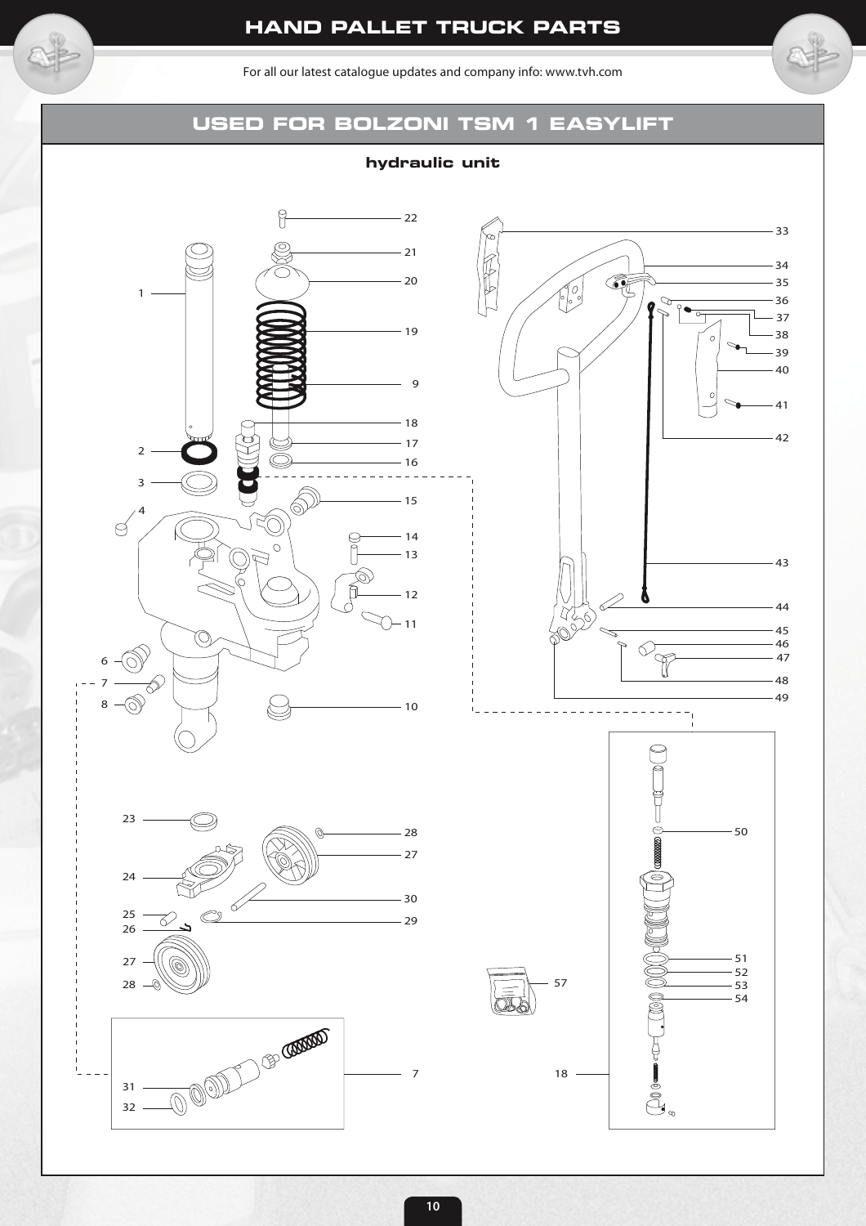For all our latest catalogue updates and company info: www.tvh.com

# **USED FOR BOLZONI TSM 1 EASYLIFT**

**hydraulic unit**





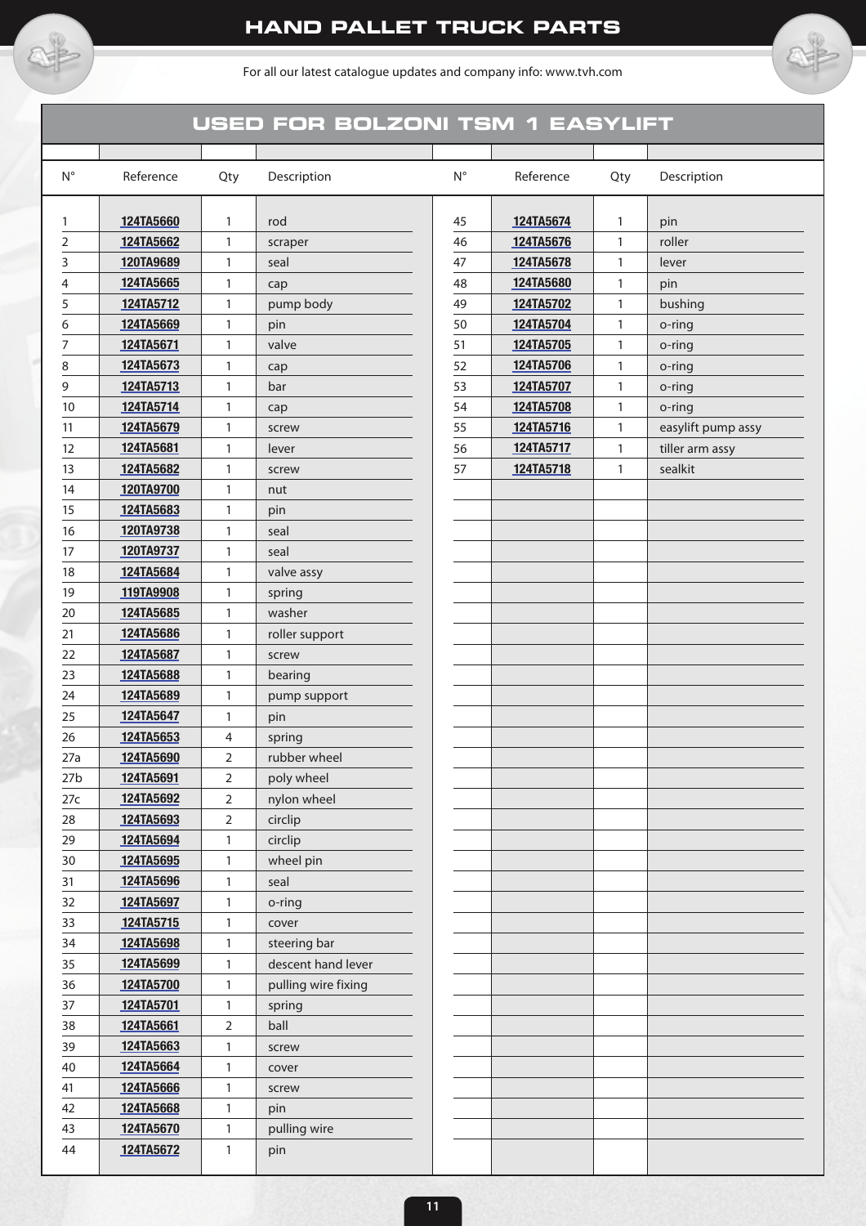

For all our latest catalogue updates and company info: www.tvh.com

## **USED FOR BOLZONI TSM 1 EASYLIFT**

| $\mathsf{N}^\circ$ | Reference | Qty            | Description         | $\mathsf{N}^\circ$ | Reference | Qty          | Description        |
|--------------------|-----------|----------------|---------------------|--------------------|-----------|--------------|--------------------|
| 1                  | 124TA5660 | $\mathbf{1}$   | rod                 | 45                 | 124TA5674 | 1            | pin                |
| 2                  | 124TA5662 | $\mathbf{1}$   | scraper             | 46                 | 124TA5676 | $\mathbf{1}$ | roller             |
| 3                  | 120TA9689 | $\mathbf{1}$   | seal                | 47                 | 124TA5678 | 1            | lever              |
| 4                  | 124TA5665 | $\mathbf{1}$   | cap                 | 48                 | 124TA5680 | $\mathbf{1}$ | pin                |
| 5                  | 124TA5712 | $\mathbf{1}$   | pump body           | 49                 | 124TA5702 | $\mathbf{1}$ | bushing            |
| 6                  | 124TA5669 | $\mathbf{1}$   | pin                 | 50                 | 124TA5704 | $\mathbf{1}$ | o-ring             |
| 7                  | 124TA5671 | 1              | valve               | 51                 | 124TA5705 | $\mathbf{1}$ | o-ring             |
| 8                  | 124TA5673 | $\mathbf{1}$   | cap                 | 52                 | 124TA5706 | $\mathbf{1}$ | o-ring             |
| 9                  | 124TA5713 | $\mathbf{1}$   | bar                 | 53                 | 124TA5707 | $\mathbf{1}$ | o-ring             |
| 10                 | 124TA5714 | 1              | cap                 | 54                 | 124TA5708 | 1            | o-ring             |
| 11                 | 124TA5679 | $\mathbf{1}$   | screw               | 55                 | 124TA5716 | 1            | easylift pump assy |
| 12                 | 124TA5681 | 1              | lever               | 56                 | 124TA5717 | 1            | tiller arm assy    |
| 13                 | 124TA5682 | 1              | screw               | 57                 | 124TA5718 | $\mathbf{1}$ | sealkit            |
| 14                 | 120TA9700 | 1              | nut                 |                    |           |              |                    |
| 15                 | 124TA5683 | 1              | pin                 |                    |           |              |                    |
| 16                 | 120TA9738 | 1              | seal                |                    |           |              |                    |
| 17                 | 120TA9737 | $\mathbf{1}$   | seal                |                    |           |              |                    |
| 18                 | 124TA5684 | 1              | valve assy          |                    |           |              |                    |
| 19                 | 119TA9908 | 1              | spring              |                    |           |              |                    |
| 20                 | 124TA5685 | 1              | washer              |                    |           |              |                    |
| 21                 | 124TA5686 | 1              | roller support      |                    |           |              |                    |
| 22                 | 124TA5687 | 1              | screw               |                    |           |              |                    |
| 23                 | 124TA5688 | 1              | bearing             |                    |           |              |                    |
| 24                 | 124TA5689 | 1              | pump support        |                    |           |              |                    |
| 25                 | 124TA5647 | 1              | pin                 |                    |           |              |                    |
| 26                 | 124TA5653 | $\overline{4}$ | spring              |                    |           |              |                    |
| 27a                | 124TA5690 | 2              | rubber wheel        |                    |           |              |                    |
| 27 <sub>b</sub>    | 124TA5691 | 2              | poly wheel          |                    |           |              |                    |
| 27c                | 124TA5692 | 2              | nylon wheel         |                    |           |              |                    |
| 28                 | 124TA5693 | 2              | circlip             |                    |           |              |                    |
| 29                 | 124TA5694 | 1              | circlip             |                    |           |              |                    |
| 30                 | 124TA5695 | $\mathbf{1}$   | wheel pin           |                    |           |              |                    |
| 31                 | 124TA5696 | 1              | seal                |                    |           |              |                    |
| 32                 | 124TA5697 | $\mathbf{1}$   | o-ring              |                    |           |              |                    |
| 33                 | 124TA5715 | 1              | cover               |                    |           |              |                    |
| 34                 | 124TA5698 | 1              | steering bar        |                    |           |              |                    |
| 35                 | 124TA5699 | $\mathbf{1}$   | descent hand lever  |                    |           |              |                    |
| 36                 | 124TA5700 | 1              | pulling wire fixing |                    |           |              |                    |
| 37                 | 124TA5701 | $\mathbf{1}$   | spring              |                    |           |              |                    |
| 38                 | 124TA5661 | 2              | ball                |                    |           |              |                    |
| 39                 | 124TA5663 | 1              | screw               |                    |           |              |                    |
| 40                 | 124TA5664 | $\mathbf{1}$   | cover               |                    |           |              |                    |
| 41                 | 124TA5666 | 1              | screw               |                    |           |              |                    |
| 42                 | 124TA5668 | 1              | pin                 |                    |           |              |                    |
| 43                 | 124TA5670 | $\mathbf{1}$   | pulling wire        |                    |           |              |                    |
| 44                 | 124TA5672 | 1              | pin                 |                    |           |              |                    |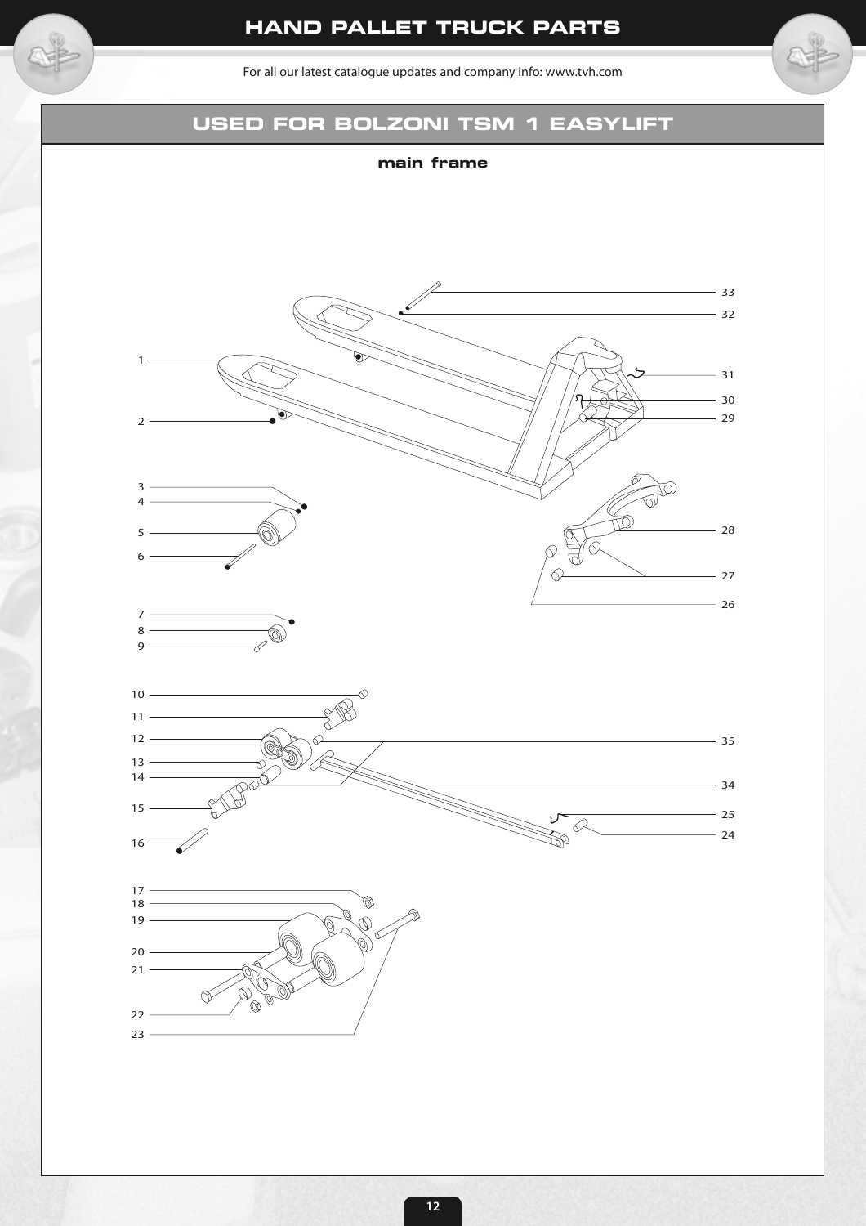For all our latest catalogue updates and company info: www.tvh.com

## **USED FOR BOLZONI TSM 1 EASYLIFT**

#### **main frame**